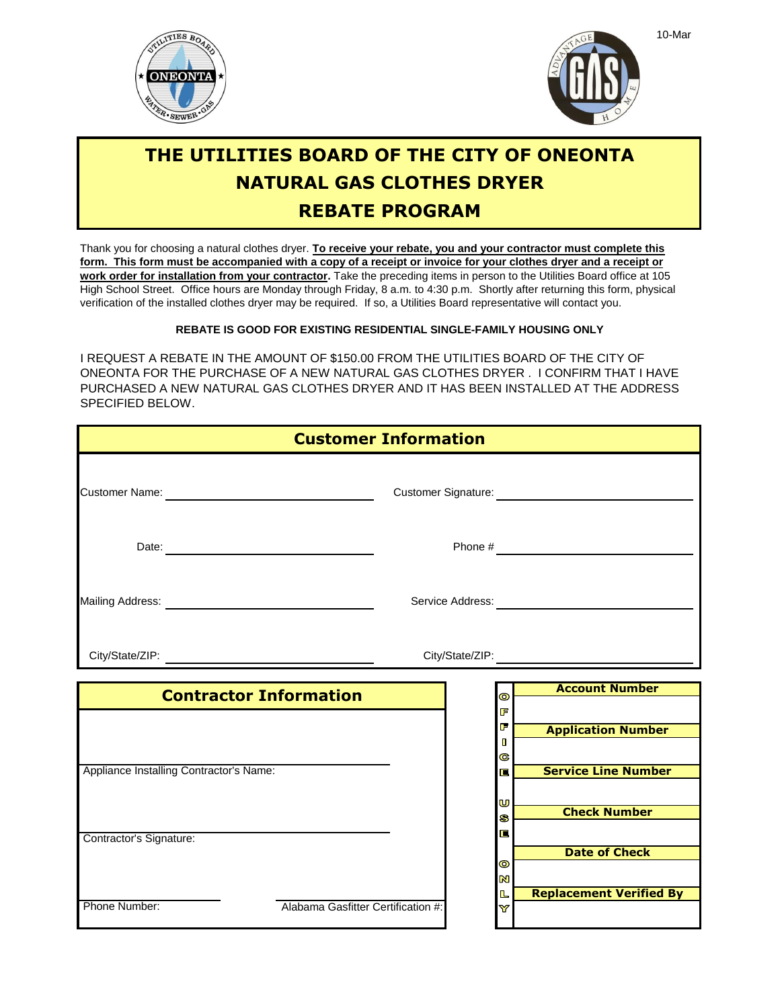



## **THE UTILITIES BOARD OF THE CITY OF ONEONTA NATURAL GAS CLOTHES DRYER REBATE PROGRAM**

Thank you for choosing a natural clothes dryer. **To receive your rebate, you and your contractor must complete this** verification of the installed clothes dryer may be required. If so, a Utilities Board representative will contact you. High School Street. Office hours are Monday through Friday, 8 a.m. to 4:30 p.m. Shortly after returning this form, physical **work order for installation from your contractor.** Take the preceding items in person to the Utilities Board office at 105 **form. This form must be accompanied with a copy of a receipt or invoice for your clothes dryer and a receipt or**

## **REBATE IS GOOD FOR EXISTING RESIDENTIAL SINGLE-FAMILY HOUSING ONLY**

I REQUEST A REBATE IN THE AMOUNT OF \$150.00 FROM THE UTILITIES BOARD OF THE CITY OF ONEONTA FOR THE PURCHASE OF A NEW NATURAL GAS CLOTHES DRYER . I CONFIRM THAT I HAVE PURCHASED A NEW NATURAL GAS CLOTHES DRYER AND IT HAS BEEN INSTALLED AT THE ADDRESS SPECIFIED BELOW.

| <b>Customer Information</b>                                                                                                                                                                                                    |                                    |  |                                      |                                |
|--------------------------------------------------------------------------------------------------------------------------------------------------------------------------------------------------------------------------------|------------------------------------|--|--------------------------------------|--------------------------------|
|                                                                                                                                                                                                                                |                                    |  |                                      |                                |
|                                                                                                                                                                                                                                |                                    |  |                                      |                                |
| Mailing Address: National Address: National Address: National Address: National Address: National Address: National Address: National Address: National Address: National Address: National Address: National Address: Nationa |                                    |  |                                      |                                |
|                                                                                                                                                                                                                                |                                    |  |                                      |                                |
|                                                                                                                                                                                                                                | <b>Contractor Information</b>      |  | $\bullet$                            | <b>Account Number</b>          |
|                                                                                                                                                                                                                                |                                    |  | F<br>F<br>$\blacksquare$<br>G        | <b>Application Number</b>      |
| Appliance Installing Contractor's Name:                                                                                                                                                                                        |                                    |  | 信<br>U                               | <b>Service Line Number</b>     |
| Contractor's Signature:                                                                                                                                                                                                        |                                    |  | S<br>E                               | <b>Check Number</b>            |
|                                                                                                                                                                                                                                |                                    |  | $\bullet$<br>$\overline{\mathbf{z}}$ | <b>Date of Check</b>           |
| Phone Number:                                                                                                                                                                                                                  | Alabama Gasfitter Certification #: |  | L<br>Y                               | <b>Replacement Verified By</b> |